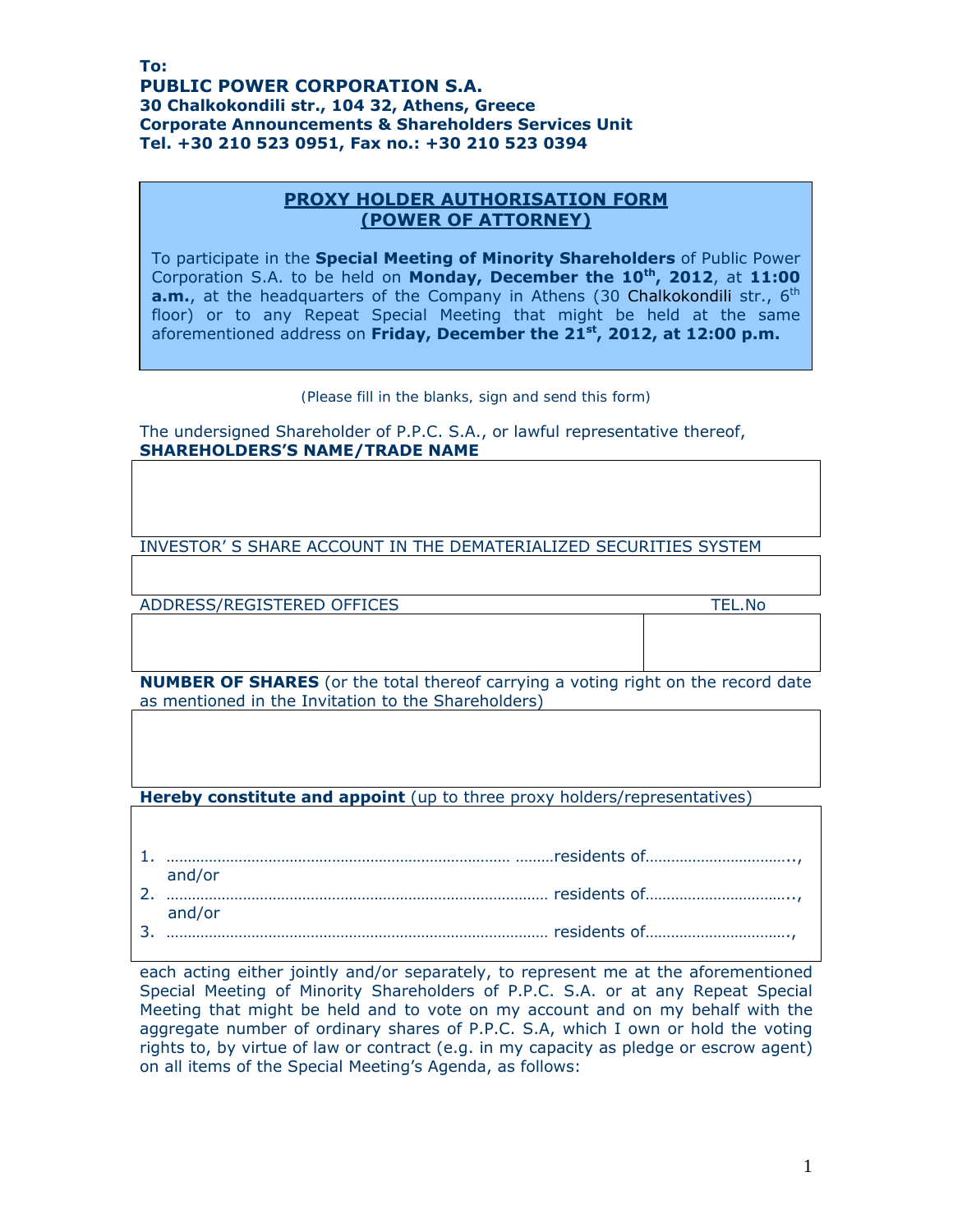## **Το: PUBLIC POWER CORPORATION S.A. 30 Chalkokondili str., 104 32, Athens, Greece Corporate Announcements & Shareholders Services Unit Τel. +30 210 523 0951, Fax no.: +30 210 523 0394**

## **PROXY HOLDER AUTHORISATION FORM (POWER OF ATTORNEY)**

To participate in the **Special Meeting of Minority Shareholders** of Public Power Corporation S.A. to be held on **Monday, December the 10th, 2012**, at **11:00 a.m.**, at the headquarters of the Company in Athens (30 Chalkokondili str., 6<sup>th</sup> floor) or to any Repeat Special Meeting that might be held at the same aforementioned address on **Friday, December the 21st, 2012, at 12:00 p.m.**

*(Please fill in the blanks, sign and send this form)* 

The undersigned Shareholder of P.P.C. S.A., or lawful representative thereof, **SHAREHOLDERS'S NAME/TRADE NAME** 

INVESTOR' S SHARE ACCOUNT IN THE DEMATERIALIZED SECURITIES SYSTEM

ADDRESS/REGISTERED OFFICES TEL.No

**NUMBER OF SHARES** (or the total thereof carrying a voting right on the record date as mentioned in the Invitation to the Shareholders)

**Hereby constitute and appoint** (up to three proxy holders/representatives)

| and/or |
|--------|
|        |
| and/or |
|        |

each acting either jointly and/or separately, to represent me at the aforementioned Special Meeting of Minority Shareholders of P.P.C. S.A. or at any Repeat Special Meeting that might be held and to vote on my account and on my behalf with the aggregate number of ordinary shares of P.P.C. S.A, which I own or hold the voting rights to, by virtue of law or contract (e.g. in my capacity as pledge or escrow agent) on all items of the Special Meeting's Agenda, as follows: